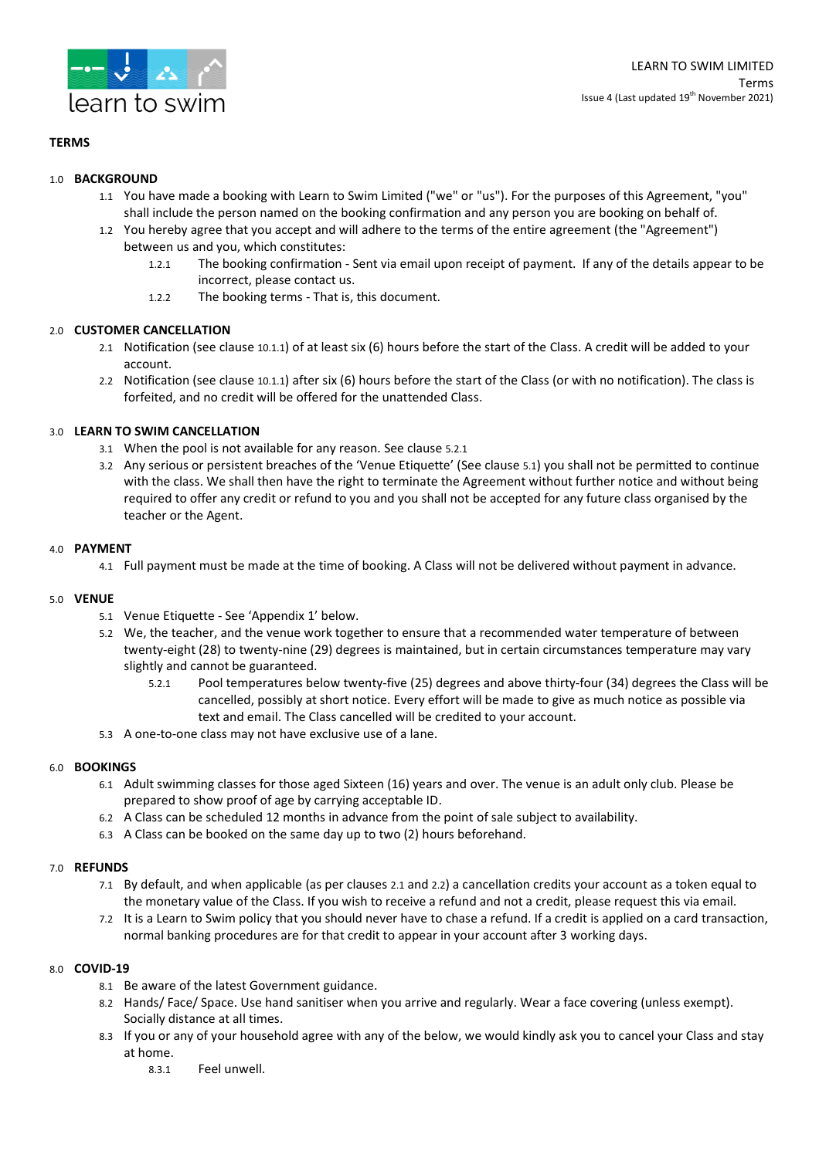

# **TERMS**

## 1.0 **BACKGROUND**

- 1.1 You have made a booking with Learn to Swim Limited ("we" or "us"). For the purposes of this Agreement, "you" shall include the person named on the booking confirmation and any person you are booking on behalf of.
- 1.2 You hereby agree that you accept and will adhere to the terms of the entire agreement (the "Agreement") between us and you, which constitutes:
	- 1.2.1 The booking confirmation Sent via email upon receipt of payment. If any of the details appear to be incorrect, please contact us.
	- 1.2.2 The booking terms That is, this document.

### 2.0 **CUSTOMER CANCELLATION**

- 2.1 Notification (see clause 10.1.1) of at least six (6) hours before the start of the Class. A credit will be added to your account.
- 2.2 Notification (see clause 10.1.1) after six (6) hours before the start of the Class (or with no notification). The class is forfeited, and no credit will be offered for the unattended Class.

# 3.0 **LEARN TO SWIM CANCELLATION**

- 3.1 When the pool is not available for any reason. See clause 5.2.1
- 3.2 Any serious or persistent breaches of the 'Venue Etiquette' (See clause 5.1) you shall not be permitted to continue with the class. We shall then have the right to terminate the Agreement without further notice and without being required to offer any credit or refund to you and you shall not be accepted for any future class organised by the teacher or the Agent.

### 4.0 **PAYMENT**

4.1 Full payment must be made at the time of booking. A Class will not be delivered without payment in advance.

### 5.0 **VENUE**

- 5.1 Venue Etiquette See 'Appendix 1' below.
- 5.2 We, the teacher, and the venue work together to ensure that a recommended water temperature of between twenty-eight (28) to twenty-nine (29) degrees is maintained, but in certain circumstances temperature may vary slightly and cannot be guaranteed.
	- 5.2.1 Pool temperatures below twenty-five (25) degrees and above thirty-four (34) degrees the Class will be cancelled, possibly at short notice. Every effort will be made to give as much notice as possible via text and email. The Class cancelled will be credited to your account.
- 5.3 A one-to-one class may not have exclusive use of a lane.

### 6.0 **BOOKINGS**

- 6.1 Adult swimming classes for those aged Sixteen (16) years and over. The venue is an adult only club. Please be prepared to show proof of age by carrying acceptable ID.
- 6.2 A Class can be scheduled 12 months in advance from the point of sale subject to availability.
- 6.3 A Class can be booked on the same day up to two (2) hours beforehand.

### 7.0 **REFUNDS**

- 7.1 By default, and when applicable (as per clauses 2.1 and 2.2) a cancellation credits your account as a token equal to the monetary value of the Class. If you wish to receive a refund and not a credit, please request this via email.
- 7.2 It is a Learn to Swim policy that you should never have to chase a refund. If a credit is applied on a card transaction, normal banking procedures are for that credit to appear in your account after 3 working days.

## 8.0 **COVID-19**

- 8.1 Be aware of the latest Government guidance.
- 8.2 Hands/ Face/ Space. Use hand sanitiser when you arrive and regularly. Wear a face covering (unless exempt). Socially distance at all times.
- 8.3 If you or any of your household agree with any of the below, we would kindly ask you to cancel your Class and stay at home.
	- 8.3.1 Feel unwell.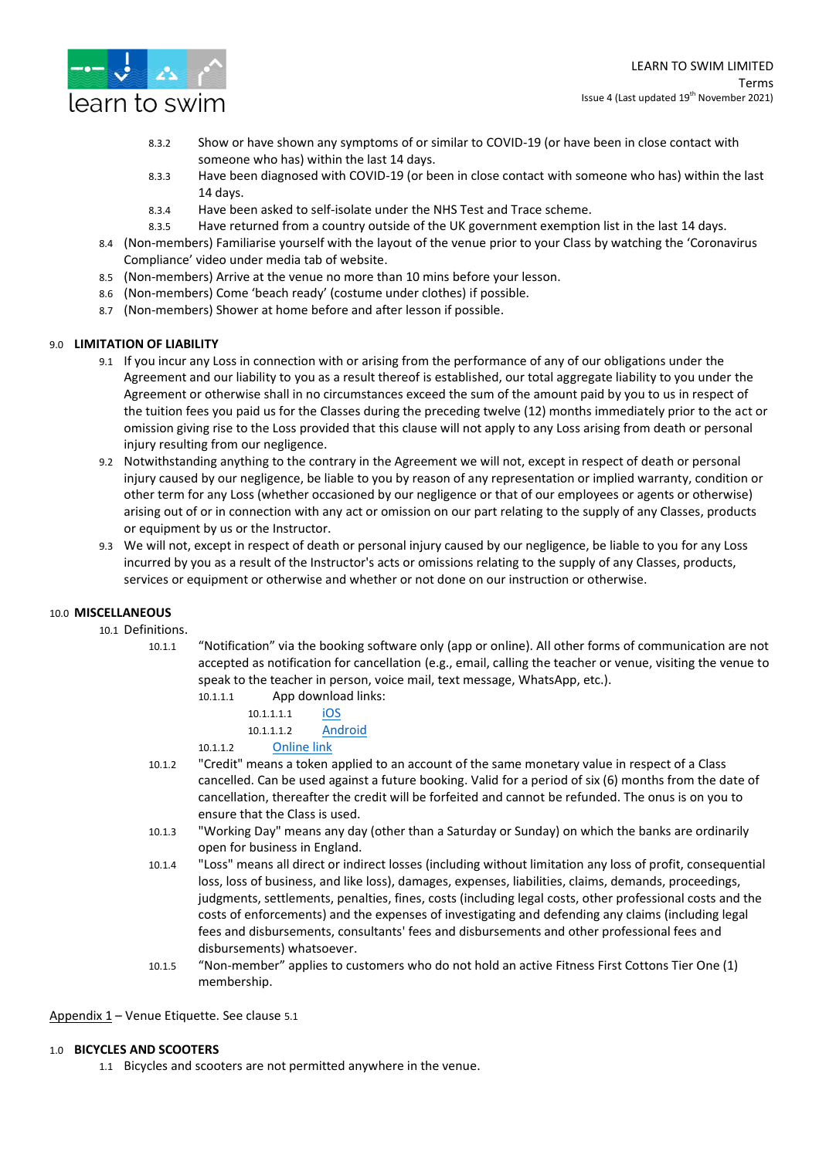

- 8.3.2 Show or have shown any symptoms of or similar to COVID-19 (or have been in close contact with someone who has) within the last 14 days.
- 8.3.3 Have been diagnosed with COVID-19 (or been in close contact with someone who has) within the last 14 days.
- 8.3.4 Have been asked to self-isolate under the NHS Test and Trace scheme.
- 8.3.5 Have returned from a country outside of the UK government exemption list in the last 14 days.
- 8.4 (Non-members) Familiarise yourself with the layout of the venue prior to your Class by watching the 'Coronavirus Compliance' video under media tab of website.
- 8.5 (Non-members) Arrive at the venue no more than 10 mins before your lesson.
- 8.6 (Non-members) Come 'beach ready' (costume under clothes) if possible.
- 8.7 (Non-members) Shower at home before and after lesson if possible.

### 9.0 **LIMITATION OF LIABILITY**

- 9.1 If you incur any Loss in connection with or arising from the performance of any of our obligations under the Agreement and our liability to you as a result thereof is established, our total aggregate liability to you under the Agreement or otherwise shall in no circumstances exceed the sum of the amount paid by you to us in respect of the tuition fees you paid us for the Classes during the preceding twelve (12) months immediately prior to the act or omission giving rise to the Loss provided that this clause will not apply to any Loss arising from death or personal injury resulting from our negligence.
- 9.2 Notwithstanding anything to the contrary in the Agreement we will not, except in respect of death or personal injury caused by our negligence, be liable to you by reason of any representation or implied warranty, condition or other term for any Loss (whether occasioned by our negligence or that of our employees or agents or otherwise) arising out of or in connection with any act or omission on our part relating to the supply of any Classes, products or equipment by us or the Instructor.
- 9.3 We will not, except in respect of death or personal injury caused by our negligence, be liable to you for any Loss incurred by you as a result of the Instructor's acts or omissions relating to the supply of any Classes, products, services or equipment or otherwise and whether or not done on our instruction or otherwise.

### 10.0 **MISCELLANEOUS**

- 10.1 Definitions.
	- 10.1.1 "Notification" via the booking software only (app or online). All other forms of communication are not accepted as notification for cancellation (e.g., email, calling the teacher or venue, visiting the venue to speak to the teacher in person, voice mail, text message, WhatsApp, etc.).
		- 10.1.1.1 App download links:
			- 10.1.1.1.1 [iOS](https://apps.apple.com/us/app/learn-to-swim-limited/id1567230772) 10.1.1.1.2 [Android](https://play.google.com/store/apps/details?id=com.fitnessmobileapps.learntoswimlimited)
		- 10.1.1.2 [Online link](https://clients.mindbodyonline.com/ASP/su1.asp?studioid=5720258&tg=&vt=&lvl=&stype=&view=&trn=0&page=&catid=&prodid=&date=11%2f19%2f2021&classid=0&prodGroupId=&sSU=&optForwardingLink=&qParam=&justloggedin=&nLgIn=&pMode=0&loc=1)
	- 10.1.2 "Credit" means a token applied to an account of the same monetary value in respect of a Class cancelled. Can be used against a future booking. Valid for a period of six (6) months from the date of cancellation, thereafter the credit will be forfeited and cannot be refunded. The onus is on you to ensure that the Class is used.
	- 10.1.3 "Working Day" means any day (other than a Saturday or Sunday) on which the banks are ordinarily open for business in England.
	- 10.1.4 "Loss" means all direct or indirect losses (including without limitation any loss of profit, consequential loss, loss of business, and like loss), damages, expenses, liabilities, claims, demands, proceedings, judgments, settlements, penalties, fines, costs (including legal costs, other professional costs and the costs of enforcements) and the expenses of investigating and defending any claims (including legal fees and disbursements, consultants' fees and disbursements and other professional fees and disbursements) whatsoever.
	- 10.1.5 "Non-member" applies to customers who do not hold an active Fitness First Cottons Tier One (1) membership.

Appendix 1 – Venue Etiquette. See clause 5.1

### 1.0 **BICYCLES AND SCOOTERS**

1.1 Bicycles and scooters are not permitted anywhere in the venue.